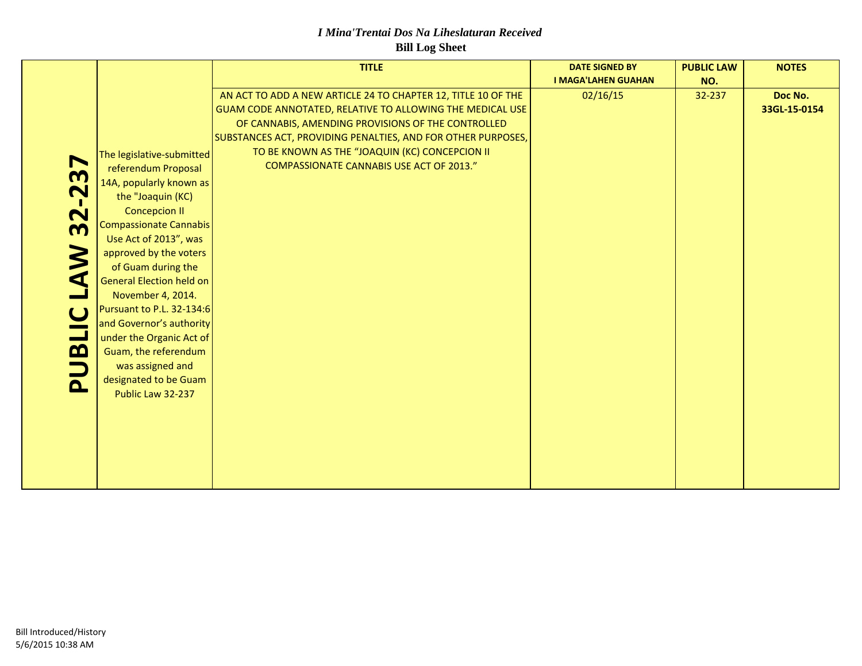#### *I Mina'Trentai Dos Na Liheslaturan Received* **Bill Log Sheet**

|                                         |                                 | <b>TITLE</b>                                                  | <b>DATE SIGNED BY</b>      | <b>PUBLIC LAW</b> | <b>NOTES</b> |
|-----------------------------------------|---------------------------------|---------------------------------------------------------------|----------------------------|-------------------|--------------|
|                                         |                                 |                                                               | <b>I MAGA'LAHEN GUAHAN</b> | NO.               |              |
|                                         |                                 | AN ACT TO ADD A NEW ARTICLE 24 TO CHAPTER 12, TITLE 10 OF THE | 02/16/15                   | 32-237            | Doc No.      |
|                                         |                                 | GUAM CODE ANNOTATED, RELATIVE TO ALLOWING THE MEDICAL USE     |                            |                   | 33GL-15-0154 |
|                                         |                                 | OF CANNABIS, AMENDING PROVISIONS OF THE CONTROLLED            |                            |                   |              |
|                                         |                                 | SUBSTANCES ACT, PROVIDING PENALTIES, AND FOR OTHER PURPOSES,  |                            |                   |              |
|                                         | The legislative-submitted       | TO BE KNOWN AS THE "JOAQUIN (KC) CONCEPCION II                |                            |                   |              |
| $\blacktriangleright$                   | referendum Proposal             | <b>COMPASSIONATE CANNABIS USE ACT OF 2013."</b>               |                            |                   |              |
| m                                       | 14A, popularly known as         |                                                               |                            |                   |              |
| $\overline{\mathbf{C}}$                 | the "Joaquin (KC)               |                                                               |                            |                   |              |
| $\mathbf{I}$<br>$\overline{\mathbf{N}}$ | <b>Concepcion II</b>            |                                                               |                            |                   |              |
| m                                       | <b>Compassionate Cannabis</b>   |                                                               |                            |                   |              |
|                                         | Use Act of 2013", was           |                                                               |                            |                   |              |
| $\blacktriangleright$                   | approved by the voters          |                                                               |                            |                   |              |
|                                         | of Guam during the              |                                                               |                            |                   |              |
| ◁                                       | <b>General Election held on</b> |                                                               |                            |                   |              |
|                                         | November 4, 2014.               |                                                               |                            |                   |              |
| $\mathbf C$                             | Pursuant to P.L. 32-134:6       |                                                               |                            |                   |              |
|                                         | and Governor's authority        |                                                               |                            |                   |              |
| $\overline{\phantom{0}}$                | under the Organic Act of        |                                                               |                            |                   |              |
| $\boldsymbol{\Omega}$                   | Guam, the referendum            |                                                               |                            |                   |              |
|                                         | was assigned and                |                                                               |                            |                   |              |
| $\mathbf{\Omega}$                       | designated to be Guam           |                                                               |                            |                   |              |
|                                         | Public Law 32-237               |                                                               |                            |                   |              |
|                                         |                                 |                                                               |                            |                   |              |
|                                         |                                 |                                                               |                            |                   |              |
|                                         |                                 |                                                               |                            |                   |              |
|                                         |                                 |                                                               |                            |                   |              |
|                                         |                                 |                                                               |                            |                   |              |
|                                         |                                 |                                                               |                            |                   |              |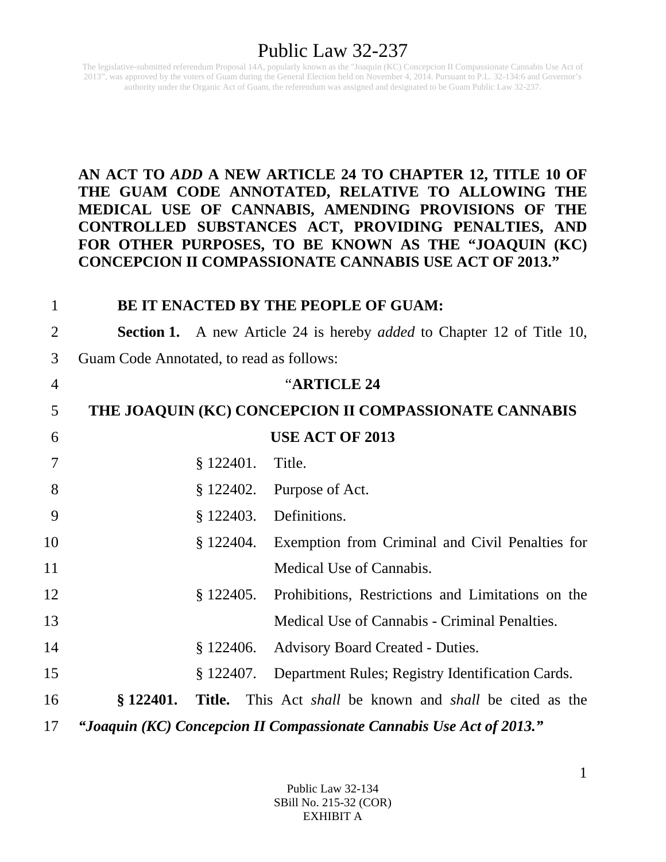The legislative-submitted referendum Proposal 14A, popularly known as the "Joaquin (KC) Concepcion II Compassionate Cannabis Use Act of 2013", was approved by the voters of Guam during the General Election held on November 4, 2014. Pursuant to P.L. 32-134:6 and Governor's authority under the Organic Act of Guam, the referendum was assigned and designated to be Guam Public Law 32-237.

#### **AN ACT TO** *ADD* **A NEW ARTICLE 24 TO CHAPTER 12, TITLE 10 OF THE GUAM CODE ANNOTATED, RELATIVE TO ALLOWING THE MEDICAL USE OF CANNABIS, AMENDING PROVISIONS OF THE CONTROLLED SUBSTANCES ACT, PROVIDING PENALTIES, AND FOR OTHER PURPOSES, TO BE KNOWN AS THE "JOAQUIN (KC) CONCEPCION II COMPASSIONATE CANNABIS USE ACT OF 2013."**

| $\mathbf{1}$   |                                          |           | BE IT ENACTED BY THE PEOPLE OF GUAM:                                                 |
|----------------|------------------------------------------|-----------|--------------------------------------------------------------------------------------|
| $\overline{2}$ |                                          |           | <b>Section 1.</b> A new Article 24 is hereby <i>added</i> to Chapter 12 of Title 10, |
| 3              | Guam Code Annotated, to read as follows: |           |                                                                                      |
| $\overline{4}$ |                                          |           | "ARTICLE 24                                                                          |
| 5              |                                          |           | THE JOAQUIN (KC) CONCEPCION II COMPASSIONATE CANNABIS                                |
| 6              |                                          |           | <b>USE ACT OF 2013</b>                                                               |
| 7              |                                          | \$122401. | Title.                                                                               |
| 8              |                                          |           | $§$ 122402. Purpose of Act.                                                          |
| 9              |                                          | \$122403. | Definitions.                                                                         |
| 10             |                                          |           | § 122404. Exemption from Criminal and Civil Penalties for                            |
| 11             |                                          |           | Medical Use of Cannabis.                                                             |
| 12             |                                          | \$122405. | Prohibitions, Restrictions and Limitations on the                                    |
| 13             |                                          |           | Medical Use of Cannabis - Criminal Penalties.                                        |
| 14             |                                          | \$122406. | <b>Advisory Board Created - Duties.</b>                                              |
| 15             |                                          | \$122407. | Department Rules; Registry Identification Cards.                                     |
| 16             | \$122401.                                |           | <b>Title.</b> This Act <i>shall</i> be known and <i>shall</i> be cited as the        |
| 17             |                                          |           | "Joaquin (KC) Concepcion II Compassionate Cannabis Use Act of 2013."                 |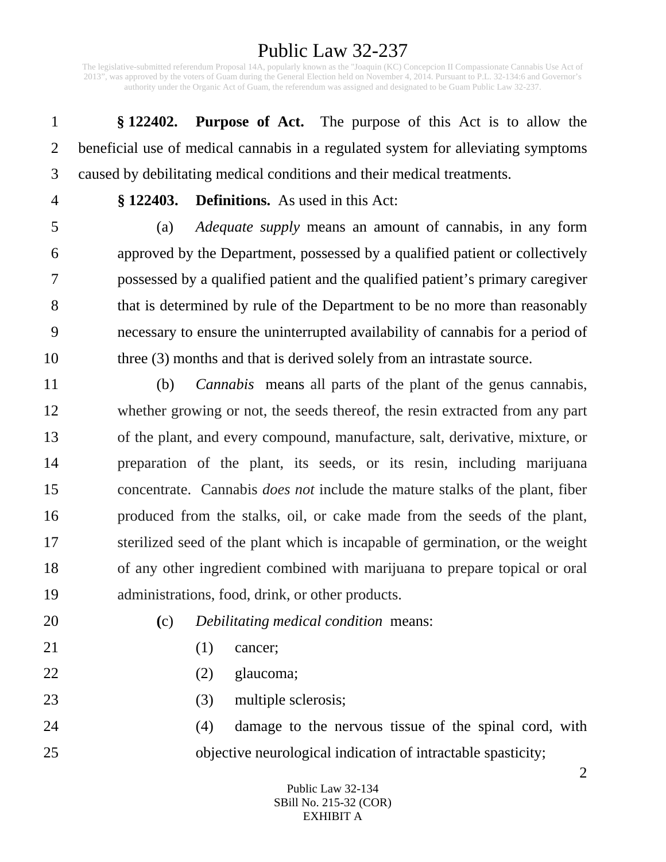The legislative-submitted referendum Proposal 14A, popularly known as the "Joaquin (KC) Concepcion II Compassionate Cannabis Use Act of 2013", was approved by the voters of Guam during the General Election held on November 4, 2014. Pursuant to P.L. 32-134:6 and Governor's authority under the Organic Act of Guam, the referendum was assigned and designated to be Guam Public Law 32-237.

1 **§ 122402. Purpose of Act.** The purpose of this Act is to allow the 2 beneficial use of medical cannabis in a regulated system for alleviating symptoms 3 caused by debilitating medical conditions and their medical treatments.

4 **§ 122403. Definitions.** As used in this Act:

5 (a) *Adequate supply* means an amount of cannabis, in any form 6 approved by the Department, possessed by a qualified patient or collectively 7 possessed by a qualified patient and the qualified patient's primary caregiver 8 that is determined by rule of the Department to be no more than reasonably 9 necessary to ensure the uninterrupted availability of cannabis for a period of 10 three (3) months and that is derived solely from an intrastate source.

11 (b) *Cannabis* means all parts of the plant of the genus cannabis, 12 whether growing or not, the seeds thereof, the resin extracted from any part 13 of the plant, and every compound, manufacture, salt, derivative, mixture, or 14 preparation of the plant, its seeds, or its resin, including marijuana 15 concentrate. Cannabis *does not* include the mature stalks of the plant, fiber 16 produced from the stalks, oil, or cake made from the seeds of the plant, 17 sterilized seed of the plant which is incapable of germination, or the weight 18 of any other ingredient combined with marijuana to prepare topical or oral 19 administrations, food, drink, or other products.

20 **(**c) *Debilitating medical condition* means:

- 21 (1) cancer;
- 22 (2) glaucoma;
- 23 (3) multiple sclerosis;

24 (4) damage to the nervous tissue of the spinal cord, with 25 objective neurological indication of intractable spasticity;

#### Public Law 32-134 SBill No. 215-32 (COR) EXHIBIT A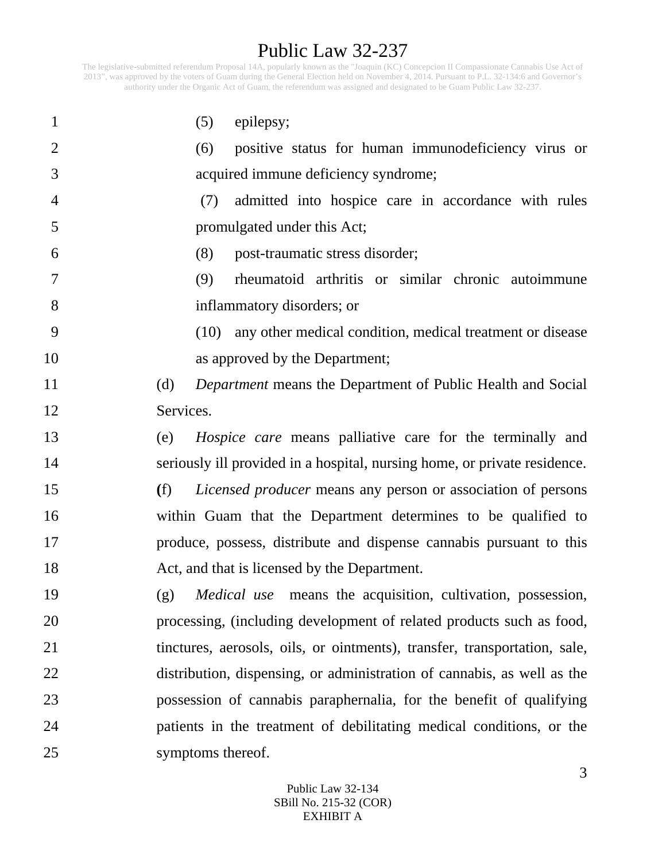The legislative-submitted referendum Proposal 14A, popularly known as the "Joaquin (KC) Concepcion II Compassionate Cannabis Use Act of 2013", was approved by the voters of Guam during the General Election held on November 4, 2014. Pursuant to P.L. 32-134:6 and Governor's authority under the Organic Act of Guam, the referendum was assigned and designated to be Guam Public Law 32-237.

| $\mathbf{1}$   | (5)<br>epilepsy;                                                           |
|----------------|----------------------------------------------------------------------------|
| $\overline{2}$ | positive status for human immunodeficiency virus or<br>(6)                 |
| 3              | acquired immune deficiency syndrome;                                       |
| $\overline{4}$ | admitted into hospice care in accordance with rules<br>(7)                 |
| 5              | promulgated under this Act;                                                |
| 6              | post-traumatic stress disorder;<br>(8)                                     |
| 7              | rheumatoid arthritis or similar chronic autoimmune<br>(9)                  |
| 8              | inflammatory disorders; or                                                 |
| 9              | (10) any other medical condition, medical treatment or disease             |
| 10             | as approved by the Department;                                             |
| 11             | (d)<br><i>Department</i> means the Department of Public Health and Social  |
| 12             | Services.                                                                  |
| 13             | <i>Hospice care</i> means palliative care for the terminally and<br>(e)    |
| 14             | seriously ill provided in a hospital, nursing home, or private residence.  |
| 15             | (f)<br><i>Licensed producer</i> means any person or association of persons |
| 16             | within Guam that the Department determines to be qualified to              |
| 17             | produce, possess, distribute and dispense cannabis pursuant to this        |
| 18             | Act, and that is licensed by the Department.                               |
| 19             | <i>Medical use</i> means the acquisition, cultivation, possession,<br>(g)  |
| 20             | processing, (including development of related products such as food,       |
| 21             | tinctures, aerosols, oils, or ointments), transfer, transportation, sale,  |
| 22             | distribution, dispensing, or administration of cannabis, as well as the    |
| 23             | possession of cannabis paraphernalia, for the benefit of qualifying        |
| 24             | patients in the treatment of debilitating medical conditions, or the       |
| 25             | symptoms thereof.                                                          |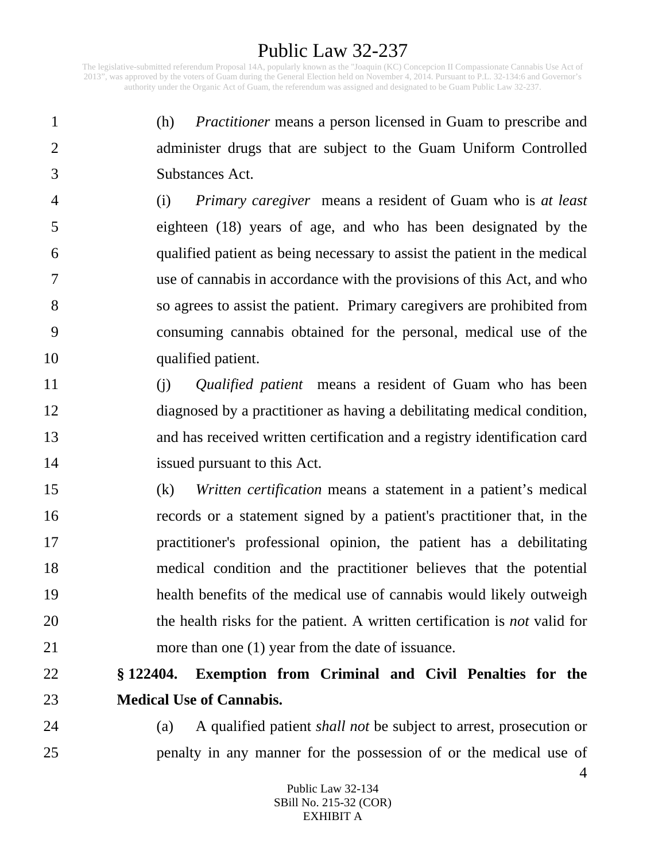The legislative-submitted referendum Proposal 14A, popularly known as the "Joaquin (KC) Concepcion II Compassionate Cannabis Use Act of 2013", was approved by the voters of Guam during the General Election held on November 4, 2014. Pursuant to P.L. 32-134:6 and Governor's authority under the Organic Act of Guam, the referendum was assigned and designated to be Guam Public Law 32-237.

1 (h) *Practitioner* means a person licensed in Guam to prescribe and 2 administer drugs that are subject to the Guam Uniform Controlled 3 Substances Act.

4 (i) *Primary caregiver* means a resident of Guam who is *at least*  5 eighteen (18) years of age, and who has been designated by the 6 qualified patient as being necessary to assist the patient in the medical 7 use of cannabis in accordance with the provisions of this Act, and who 8 so agrees to assist the patient. Primary caregivers are prohibited from 9 consuming cannabis obtained for the personal, medical use of the 10 qualified patient.

- 11 (j) *Qualified patient* means a resident of Guam who has been 12 diagnosed by a practitioner as having a debilitating medical condition, 13 and has received written certification and a registry identification card 14 issued pursuant to this Act.
- 15 (k) *Written certification* means a statement in a patient's medical 16 records or a statement signed by a patient's practitioner that, in the 17 practitioner's professional opinion, the patient has a debilitating 18 medical condition and the practitioner believes that the potential 19 health benefits of the medical use of cannabis would likely outweigh 20 the health risks for the patient. A written certification is *not* valid for 21 more than one (1) year from the date of issuance.

# 22 **§ 122404. Exemption from Criminal and Civil Penalties for the**  23 **Medical Use of Cannabis.**

24 (a) A qualified patient *shall not* be subject to arrest, prosecution or 25 penalty in any manner for the possession of or the medical use of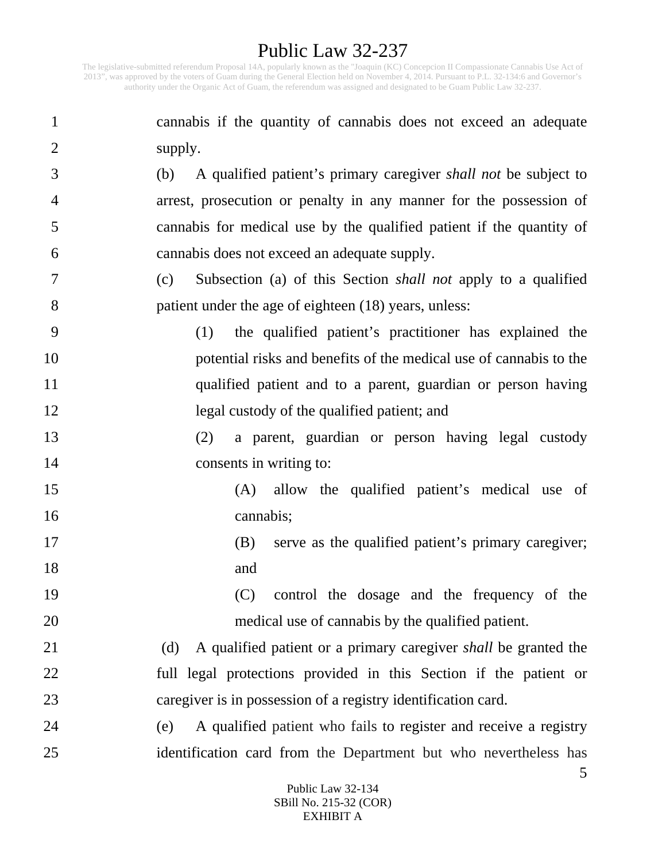The legislative-submitted referendum Proposal 14A, popularly known as the "Joaquin (KC) Concepcion II Compassionate Cannabis Use Act of 2013", was approved by the voters of Guam during the General Election held on November 4, 2014. Pursuant to P.L. 32-134:6 and Governor's authority under the Organic Act of Guam, the referendum was assigned and designated to be Guam Public Law 32-237.

1 cannabis if the quantity of cannabis does not exceed an adequate 2 supply. 3 (b) A qualified patient's primary caregiver *shall not* be subject to 4 arrest, prosecution or penalty in any manner for the possession of 5 cannabis for medical use by the qualified patient if the quantity of 6 cannabis does not exceed an adequate supply. 7 (c) Subsection (a) of this Section *shall not* apply to a qualified 8 patient under the age of eighteen (18) years, unless: 9 (1) the qualified patient's practitioner has explained the 10 potential risks and benefits of the medical use of cannabis to the 11 qualified patient and to a parent, guardian or person having 12 legal custody of the qualified patient; and 13 (2) a parent, guardian or person having legal custody 14 consents in writing to: 15 (A) allow the qualified patient's medical use of 16 cannabis; 17 (B) serve as the qualified patient's primary caregiver; 18 and 19 (C) control the dosage and the frequency of the 20 medical use of cannabis by the qualified patient. 21 (d) A qualified patient or a primary caregiver *shall* be granted the 22 full legal protections provided in this Section if the patient or 23 caregiver is in possession of a registry identification card. 24 (e) A qualified patient who fails to register and receive a registry 25 identification card from the Department but who nevertheless has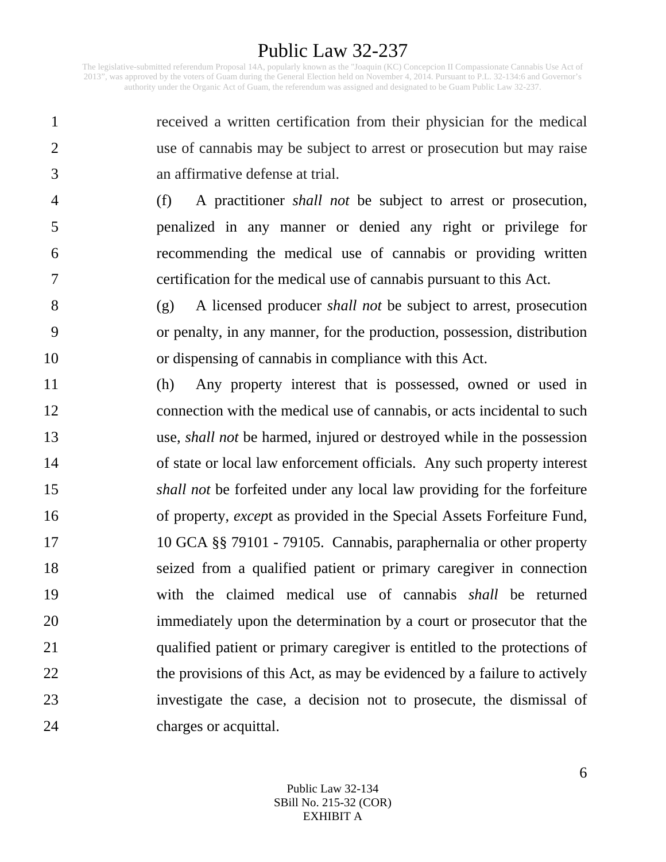The legislative-submitted referendum Proposal 14A, popularly known as the "Joaquin (KC) Concepcion II Compassionate Cannabis Use Act of 2013", was approved by the voters of Guam during the General Election held on November 4, 2014. Pursuant to P.L. 32-134:6 and Governor's authority under the Organic Act of Guam, the referendum was assigned and designated to be Guam Public Law 32-237.

1 received a written certification from their physician for the medical 2 use of cannabis may be subject to arrest or prosecution but may raise 3 an affirmative defense at trial.

4 (f) A practitioner *shall not* be subject to arrest or prosecution, 5 penalized in any manner or denied any right or privilege for 6 recommending the medical use of cannabis or providing written 7 certification for the medical use of cannabis pursuant to this Act.

8 (g) A licensed producer *shall not* be subject to arrest, prosecution 9 or penalty, in any manner, for the production, possession, distribution 10 or dispensing of cannabis in compliance with this Act.

11 (h) Any property interest that is possessed, owned or used in 12 connection with the medical use of cannabis, or acts incidental to such 13 use, *shall not* be harmed, injured or destroyed while in the possession 14 of state or local law enforcement officials. Any such property interest 15 *shall not* be forfeited under any local law providing for the forfeiture 16 of property, *excep*t as provided in the Special Assets Forfeiture Fund, 17 10 GCA §§ 79101 - 79105. Cannabis, paraphernalia or other property 18 seized from a qualified patient or primary caregiver in connection 19 with the claimed medical use of cannabis *shall* be returned 20 immediately upon the determination by a court or prosecutor that the 21 qualified patient or primary caregiver is entitled to the protections of 22 the provisions of this Act, as may be evidenced by a failure to actively 23 investigate the case, a decision not to prosecute, the dismissal of 24 charges or acquittal.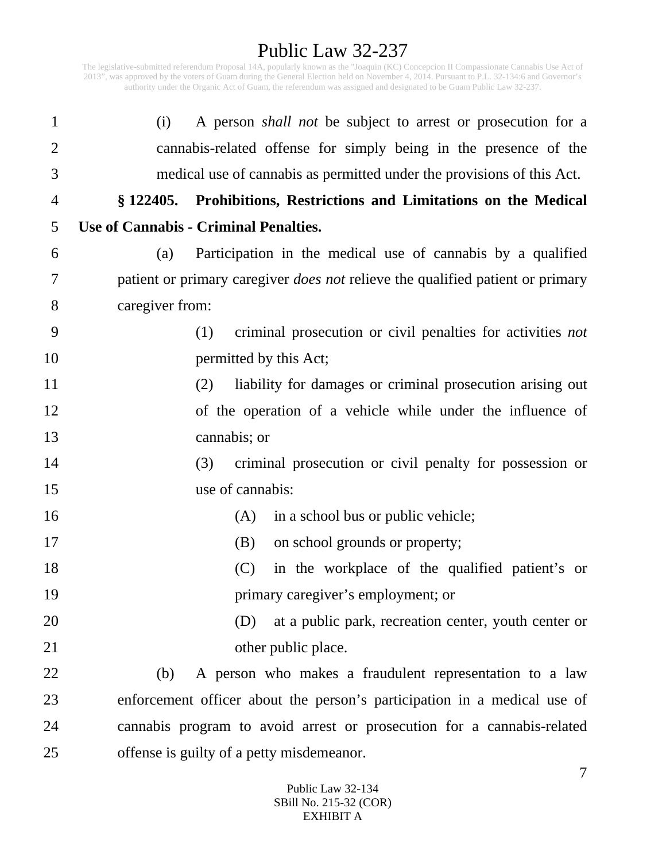The legislative-submitted referendum Proposal 14A, popularly known as the "Joaquin (KC) Concepcion II Compassionate Cannabis Use Act of 2013", was approved by the voters of Guam during the General Election held on November 4, 2014. Pursuant to P.L. 32-134:6 and Governor's authority under the Organic Act of Guam, the referendum was assigned and designated to be Guam Public Law 32-237.

| $\mathbf{1}$   | (i)             | A person <i>shall not</i> be subject to arrest or prosecution for a                   |
|----------------|-----------------|---------------------------------------------------------------------------------------|
| $\overline{2}$ |                 | cannabis-related offense for simply being in the presence of the                      |
| 3              |                 | medical use of cannabis as permitted under the provisions of this Act.                |
| 4              |                 | § 122405. Prohibitions, Restrictions and Limitations on the Medical                   |
| 5              |                 | <b>Use of Cannabis - Criminal Penalties.</b>                                          |
| 6              | (a)             | Participation in the medical use of cannabis by a qualified                           |
| 7              |                 | patient or primary caregiver <i>does not</i> relieve the qualified patient or primary |
| 8              | caregiver from: |                                                                                       |
| 9              |                 | criminal prosecution or civil penalties for activities not<br>(1)                     |
| 10             |                 | permitted by this Act;                                                                |
| 11             |                 | liability for damages or criminal prosecution arising out<br>(2)                      |
| 12             |                 | of the operation of a vehicle while under the influence of                            |
| 13             |                 | cannabis; or                                                                          |
| 14             |                 | criminal prosecution or civil penalty for possession or<br>(3)                        |
| 15             |                 | use of cannabis:                                                                      |
| 16             |                 | in a school bus or public vehicle;<br>(A)                                             |
| 17             |                 | on school grounds or property;<br>(B)                                                 |
| 18             |                 | (C)<br>in the workplace of the qualified patient's or                                 |
| 19             |                 | primary caregiver's employment; or                                                    |
| 20             |                 | at a public park, recreation center, youth center or<br>(D)                           |
| 21             |                 | other public place.                                                                   |
| 22             | (b)             | A person who makes a fraudulent representation to a law                               |
| 23             |                 | enforcement officer about the person's participation in a medical use of              |
| 24             |                 | cannabis program to avoid arrest or prosecution for a cannabis-related                |
| 25             |                 | offense is guilty of a petty misdemeanor.                                             |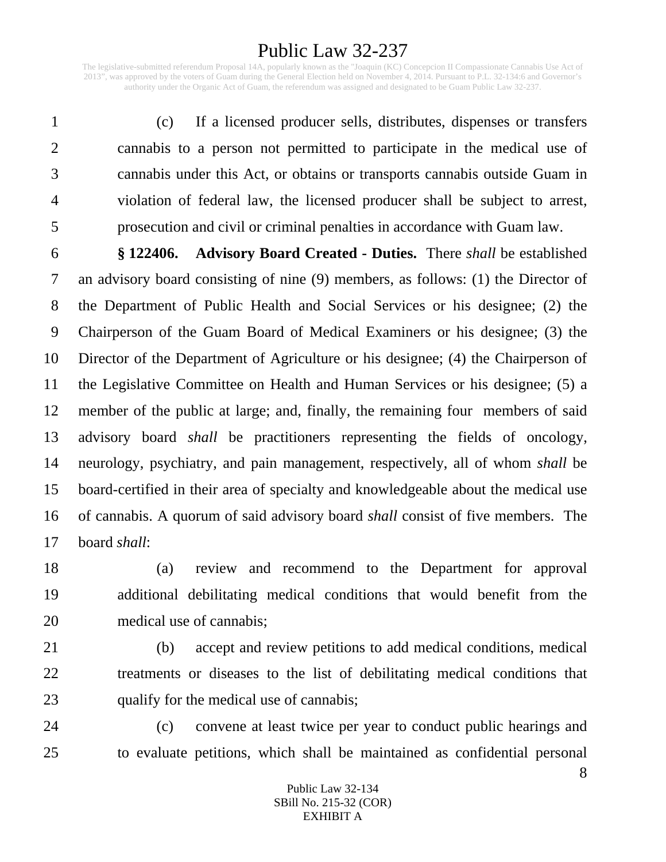The legislative-submitted referendum Proposal 14A, popularly known as the "Joaquin (KC) Concepcion II Compassionate Cannabis Use Act of 2013", was approved by the voters of Guam during the General Election held on November 4, 2014. Pursuant to P.L. 32-134:6 and Governor's authority under the Organic Act of Guam, the referendum was assigned and designated to be Guam Public Law 32-237.

1 (c) If a licensed producer sells, distributes, dispenses or transfers 2 cannabis to a person not permitted to participate in the medical use of 3 cannabis under this Act, or obtains or transports cannabis outside Guam in 4 violation of federal law, the licensed producer shall be subject to arrest, 5 prosecution and civil or criminal penalties in accordance with Guam law.

6 **§ 122406. Advisory Board Created - Duties.** There *shall* be established 7 an advisory board consisting of nine (9) members, as follows: (1) the Director of 8 the Department of Public Health and Social Services or his designee; (2) the 9 Chairperson of the Guam Board of Medical Examiners or his designee; (3) the 10 Director of the Department of Agriculture or his designee; (4) the Chairperson of 11 the Legislative Committee on Health and Human Services or his designee; (5) a 12 member of the public at large; and, finally, the remaining four members of said 13 advisory board *shall* be practitioners representing the fields of oncology, 14 neurology, psychiatry, and pain management, respectively, all of whom *shall* be 15 board-certified in their area of specialty and knowledgeable about the medical use 16 of cannabis. A quorum of said advisory board *shall* consist of five members. The 17 board *shall*:

- 18 (a) review and recommend to the Department for approval 19 additional debilitating medical conditions that would benefit from the 20 medical use of cannabis;
- 21 (b) accept and review petitions to add medical conditions, medical 22 treatments or diseases to the list of debilitating medical conditions that 23 qualify for the medical use of cannabis;
- 24 (c) convene at least twice per year to conduct public hearings and 25 to evaluate petitions, which shall be maintained as confidential personal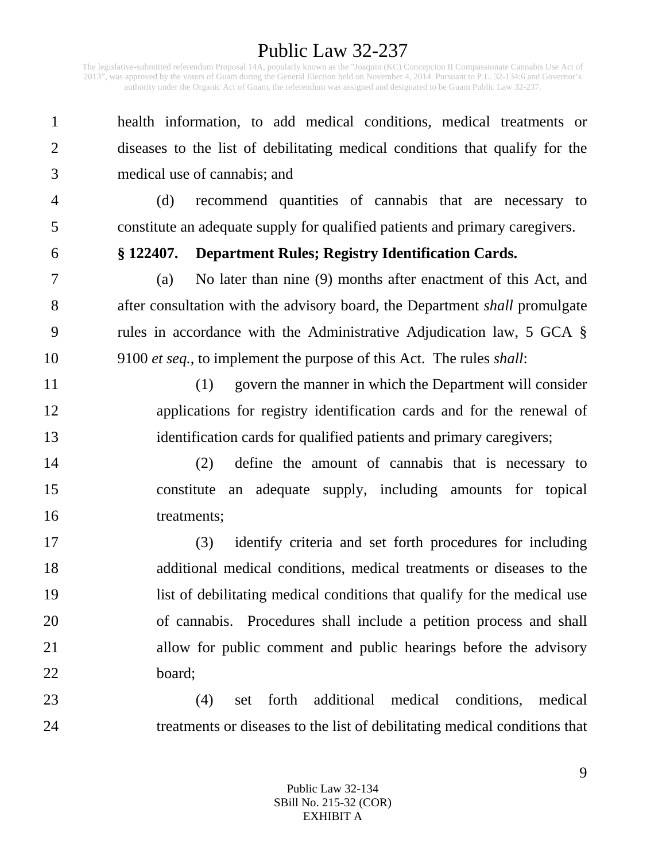The legislative-submitted referendum Proposal 14A, popularly known as the "Joaquin (KC) Concepcion II Compassionate Cannabis Use Act of 2013", was approved by the voters of Guam during the General Election held on November 4, 2014. Pursuant to P.L. 32-134:6 and Governor's authority under the Organic Act of Guam, the referendum was assigned and designated to be Guam Public Law 32-237.

1 health information, to add medical conditions, medical treatments or 2 diseases to the list of debilitating medical conditions that qualify for the 3 medical use of cannabis; and

4 (d) recommend quantities of cannabis that are necessary to 5 constitute an adequate supply for qualified patients and primary caregivers.

#### 6 **§ 122407. Department Rules; Registry Identification Cards.**

7 (a) No later than nine (9) months after enactment of this Act, and 8 after consultation with the advisory board, the Department *shall* promulgate 9 rules in accordance with the Administrative Adjudication law, 5 GCA § 10 9100 *et seq.*, to implement the purpose of this Act. The rules *shall*:

11 (1) govern the manner in which the Department will consider 12 applications for registry identification cards and for the renewal of 13 identification cards for qualified patients and primary caregivers;

14 (2) define the amount of cannabis that is necessary to 15 constitute an adequate supply, including amounts for topical 16 treatments;

17 (3) identify criteria and set forth procedures for including 18 additional medical conditions, medical treatments or diseases to the 19 list of debilitating medical conditions that qualify for the medical use 20 of cannabis. Procedures shall include a petition process and shall 21 allow for public comment and public hearings before the advisory 22 board;

23 (4) set forth additional medical conditions, medical 24 treatments or diseases to the list of debilitating medical conditions that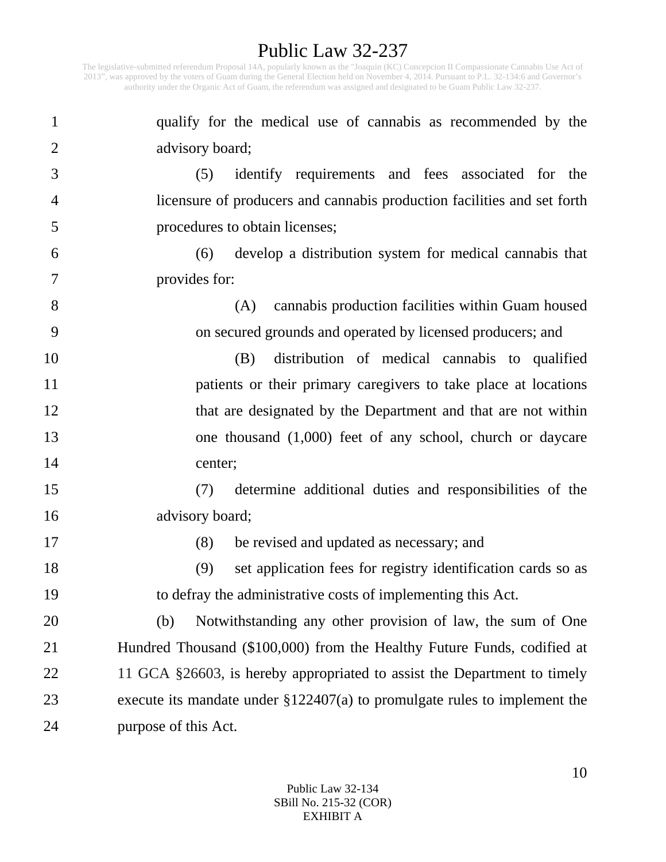Public Law 32-237 The legislative-submitted referendum Proposal 14A, popularly known as the "Joaquin (KC) Concepcion II Compassionate Cannabis Use Act of 2013", was approved by the voters of Guam during the General Election held on November 4, 2014. Pursuant to P.L. 32-134:6 and Governor's authority under the Organic Act of Guam, the referendum was assigned and designated to be Guam Public Law 32-237.

| $\mathbf{1}$   | qualify for the medical use of cannabis as recommended by the                 |
|----------------|-------------------------------------------------------------------------------|
| $\overline{2}$ | advisory board;                                                               |
| 3              | identify requirements and fees associated for the<br>(5)                      |
| 4              | licensure of producers and cannabis production facilities and set forth       |
| 5              | procedures to obtain licenses;                                                |
| 6              | develop a distribution system for medical cannabis that<br>(6)                |
| 7              | provides for:                                                                 |
| 8              | cannabis production facilities within Guam housed<br>(A)                      |
| 9              | on secured grounds and operated by licensed producers; and                    |
| 10             | distribution of medical cannabis to qualified<br>(B)                          |
| 11             | patients or their primary caregivers to take place at locations               |
| 12             | that are designated by the Department and that are not within                 |
| 13             | one thousand $(1,000)$ feet of any school, church or daycare                  |
| 14             | center;                                                                       |
| 15             | determine additional duties and responsibilities of the<br>(7)                |
| 16             | advisory board;                                                               |
| 17             | be revised and updated as necessary; and<br>(8)                               |
| 18             | set application fees for registry identification cards so as<br>(9)           |
| 19             | to defray the administrative costs of implementing this Act.                  |
| 20             | Notwithstanding any other provision of law, the sum of One<br>(b)             |
| 21             | Hundred Thousand (\$100,000) from the Healthy Future Funds, codified at       |
| 22             | 11 GCA §26603, is hereby appropriated to assist the Department to timely      |
| 23             | execute its mandate under $\S 122407(a)$ to promulgate rules to implement the |
| 24             | purpose of this Act.                                                          |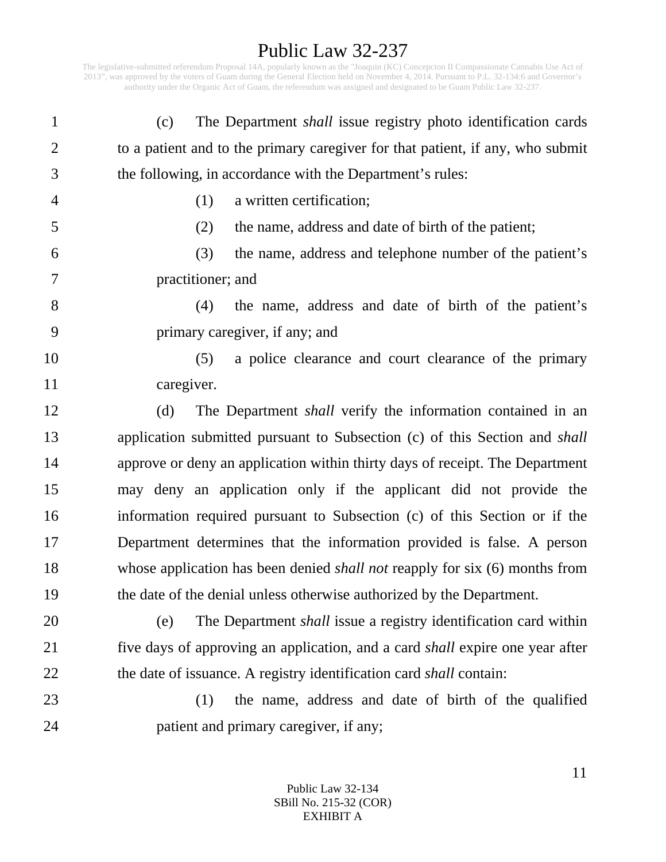The legislative-submitted referendum Proposal 14A, popularly known as the "Joaquin (KC) Concepcion II Compassionate Cannabis Use Act of 2013", was approved by the voters of Guam during the General Election held on November 4, 2014. Pursuant to P.L. 32-134:6 and Governor's authority under the Organic Act of Guam, the referendum was assigned and designated to be Guam Public Law 32-237.

| $\mathbf{1}$   | The Department <i>shall</i> issue registry photo identification cards<br>(c)         |
|----------------|--------------------------------------------------------------------------------------|
| $\overline{2}$ | to a patient and to the primary caregiver for that patient, if any, who submit       |
| 3              | the following, in accordance with the Department's rules:                            |
| 4              | a written certification;<br>(1)                                                      |
| 5              | the name, address and date of birth of the patient;<br>(2)                           |
| 6              | (3)<br>the name, address and telephone number of the patient's                       |
| 7              | practitioner; and                                                                    |
| 8              | the name, address and date of birth of the patient's<br>(4)                          |
| 9              | primary caregiver, if any; and                                                       |
| 10             | a police clearance and court clearance of the primary<br>(5)                         |
| 11             | caregiver.                                                                           |
| 12             | The Department <i>shall</i> verify the information contained in an<br>(d)            |
| 13             | application submitted pursuant to Subsection (c) of this Section and <i>shall</i>    |
| 14             | approve or deny an application within thirty days of receipt. The Department         |
| 15             | may deny an application only if the applicant did not provide the                    |
| 16             | information required pursuant to Subsection (c) of this Section or if the            |
| 17             | Department determines that the information provided is false. A person               |
| 18             | whose application has been denied <i>shall not</i> reapply for six (6) months from   |
| 19             | the date of the denial unless otherwise authorized by the Department.                |
| 20             | The Department shall issue a registry identification card within<br>(e)              |
| 21             | five days of approving an application, and a card <i>shall</i> expire one year after |
| 22             | the date of issuance. A registry identification card <i>shall</i> contain:           |
| 23             | the name, address and date of birth of the qualified<br>(1)                          |
| 24             | patient and primary caregiver, if any;                                               |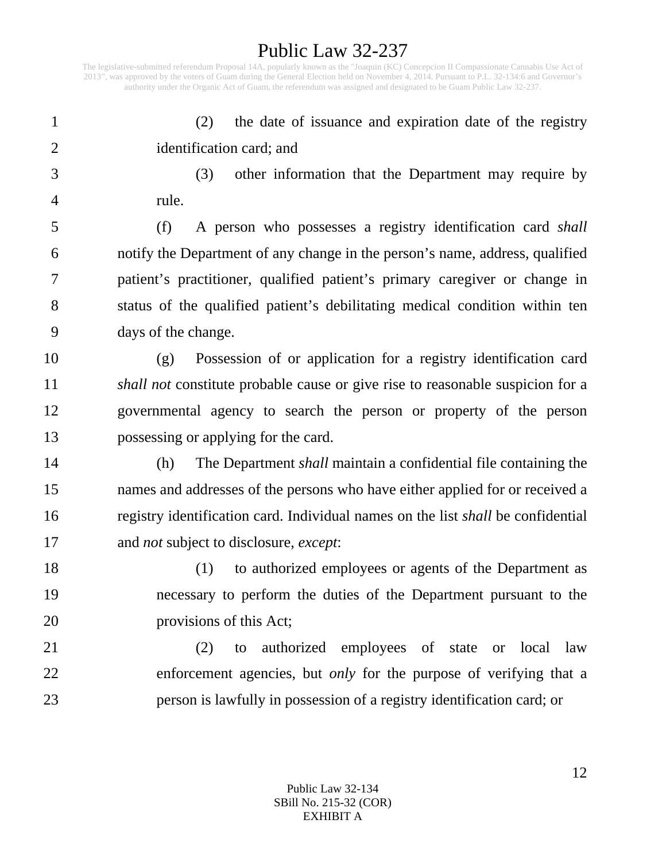The legislative-submitted referendum Proposal 14A, popularly known as the "Joaquin (KC) Concepcion II Compassionate Cannabis Use Act of 2013", was approved by the voters of Guam during the General Election held on November 4, 2014. Pursuant to P.L. 32-134:6 and Governor's authority under the Organic Act of Guam, the referendum was assigned and designated to be Guam Public Law 32-237.

1 (2) the date of issuance and expiration date of the registry 2 identification card; and

3 (3) other information that the Department may require by 4 rule.

5 (f) A person who possesses a registry identification card *shall* 6 notify the Department of any change in the person's name, address, qualified 7 patient's practitioner, qualified patient's primary caregiver or change in 8 status of the qualified patient's debilitating medical condition within ten 9 days of the change.

10 (g) Possession of or application for a registry identification card 11 *shall not* constitute probable cause or give rise to reasonable suspicion for a 12 governmental agency to search the person or property of the person 13 possessing or applying for the card.

14 (h) The Department *shall* maintain a confidential file containing the 15 names and addresses of the persons who have either applied for or received a 16 registry identification card. Individual names on the list *shall* be confidential 17 and *not* subject to disclosure, *except*:

18 (1) to authorized employees or agents of the Department as 19 necessary to perform the duties of the Department pursuant to the 20 provisions of this Act;

21 (2) to authorized employees of state or local law 22 enforcement agencies, but *only* for the purpose of verifying that a 23 person is lawfully in possession of a registry identification card; or